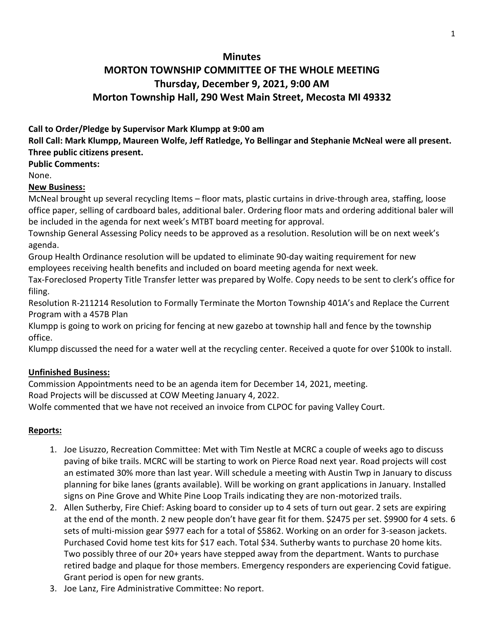## **Minutes**

# **MORTON TOWNSHIP COMMITTEE OF THE WHOLE MEETING Thursday, December 9, 2021, 9:00 AM Morton Township Hall, 290 West Main Street, Mecosta MI 49332**

## **Call to Order/Pledge by Supervisor Mark Klumpp at 9:00 am**

**Roll Call: Mark Klumpp, Maureen Wolfe, Jeff Ratledge, Yo Bellingar and Stephanie McNeal were all present. Three public citizens present.** 

**Public Comments:** 

None.

## **New Business:**

McNeal brought up several recycling Items – floor mats, plastic curtains in drive-through area, staffing, loose office paper, selling of cardboard bales, additional baler. Ordering floor mats and ordering additional baler will be included in the agenda for next week's MTBT board meeting for approval.

Township General Assessing Policy needs to be approved as a resolution. Resolution will be on next week's agenda.

Group Health Ordinance resolution will be updated to eliminate 90-day waiting requirement for new employees receiving health benefits and included on board meeting agenda for next week.

Tax-Foreclosed Property Title Transfer letter was prepared by Wolfe. Copy needs to be sent to clerk's office for filing.

Resolution R-211214 Resolution to Formally Terminate the Morton Township 401A's and Replace the Current Program with a 457B Plan

Klumpp is going to work on pricing for fencing at new gazebo at township hall and fence by the township office.

Klumpp discussed the need for a water well at the recycling center. Received a quote for over \$100k to install.

## **Unfinished Business:**

Commission Appointments need to be an agenda item for December 14, 2021, meeting. Road Projects will be discussed at COW Meeting January 4, 2022.

Wolfe commented that we have not received an invoice from CLPOC for paving Valley Court.

## **Reports:**

- 1. Joe Lisuzzo, Recreation Committee: Met with Tim Nestle at MCRC a couple of weeks ago to discuss paving of bike trails. MCRC will be starting to work on Pierce Road next year. Road projects will cost an estimated 30% more than last year. Will schedule a meeting with Austin Twp in January to discuss planning for bike lanes (grants available). Will be working on grant applications in January. Installed signs on Pine Grove and White Pine Loop Trails indicating they are non-motorized trails.
- 2. Allen Sutherby, Fire Chief: Asking board to consider up to 4 sets of turn out gear. 2 sets are expiring at the end of the month. 2 new people don't have gear fit for them. \$2475 per set. \$9900 for 4 sets. 6 sets of multi-mission gear \$977 each for a total of \$5862. Working on an order for 3-season jackets. Purchased Covid home test kits for \$17 each. Total \$34. Sutherby wants to purchase 20 home kits. Two possibly three of our 20+ years have stepped away from the department. Wants to purchase retired badge and plaque for those members. Emergency responders are experiencing Covid fatigue. Grant period is open for new grants.
- 3. Joe Lanz, Fire Administrative Committee: No report.